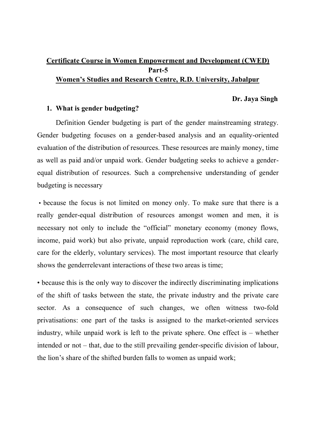## **Certificate Course in Women Empowerment and Development (CWED) Part-5 Women's Studies and Research Centre, R.D. University, Jabalpur**

### **Dr. Jaya Singh**

### **1. What is gender budgeting?**

Definition Gender budgeting is part of the gender mainstreaming strategy. Gender budgeting focuses on a gender-based analysis and an equality-oriented evaluation of the distribution of resources. These resources are mainly money, time as well as paid and/or unpaid work. Gender budgeting seeks to achieve a genderequal distribution of resources. Such a comprehensive understanding of gender budgeting is necessary

 • because the focus is not limited on money only. To make sure that there is a really gender-equal distribution of resources amongst women and men, it is necessary not only to include the "official" monetary economy (money flows, income, paid work) but also private, unpaid reproduction work (care, child care, care for the elderly, voluntary services). The most important resource that clearly shows the genderrelevant interactions of these two areas is time;

• because this is the only way to discover the indirectly discriminating implications of the shift of tasks between the state, the private industry and the private care sector. As a consequence of such changes, we often witness two-fold privatisations: one part of the tasks is assigned to the market-oriented services industry, while unpaid work is left to the private sphere. One effect is – whether intended or not – that, due to the still prevailing gender-specific division of labour, the lion's share of the shifted burden falls to women as unpaid work;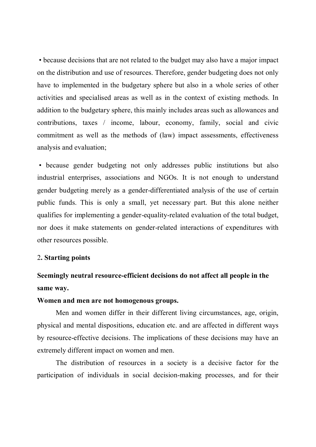• because decisions that are not related to the budget may also have a major impact on the distribution and use of resources. Therefore, gender budgeting does not only have to implemented in the budgetary sphere but also in a whole series of other activities and specialised areas as well as in the context of existing methods. In addition to the budgetary sphere, this mainly includes areas such as allowances and contributions, taxes / income, labour, economy, family, social and civic commitment as well as the methods of (law) impact assessments, effectiveness analysis and evaluation;

 • because gender budgeting not only addresses public institutions but also industrial enterprises, associations and NGOs. It is not enough to understand gender budgeting merely as a gender-differentiated analysis of the use of certain public funds. This is only a small, yet necessary part. But this alone neither qualifies for implementing a gender-equality-related evaluation of the total budget, nor does it make statements on gender-related interactions of expenditures with other resources possible.

#### 2**. Starting points**

# **Seemingly neutral resource-efficient decisions do not affect all people in the same way.**

#### **Women and men are not homogenous groups.**

Men and women differ in their different living circumstances, age, origin, physical and mental dispositions, education etc. and are affected in different ways by resource-effective decisions. The implications of these decisions may have an extremely different impact on women and men.

The distribution of resources in a society is a decisive factor for the participation of individuals in social decision-making processes, and for their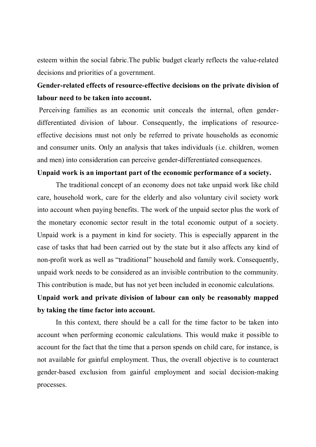esteem within the social fabric.The public budget clearly reflects the value-related decisions and priorities of a government.

## **Gender-related effects of resource-effective decisions on the private division of labour need to be taken into account.**

 Perceiving families as an economic unit conceals the internal, often genderdifferentiated division of labour. Consequently, the implications of resourceeffective decisions must not only be referred to private households as economic and consumer units. Only an analysis that takes individuals (i.e. children, women and men) into consideration can perceive gender-differentiated consequences.

### **Unpaid work is an important part of the economic performance of a society.**

The traditional concept of an economy does not take unpaid work like child care, household work, care for the elderly and also voluntary civil society work into account when paying benefits. The work of the unpaid sector plus the work of the monetary economic sector result in the total economic output of a society. Unpaid work is a payment in kind for society. This is especially apparent in the case of tasks that had been carried out by the state but it also affects any kind of non-profit work as well as "traditional" household and family work. Consequently, unpaid work needs to be considered as an invisible contribution to the community. This contribution is made, but has not yet been included in economic calculations.

# **Unpaid work and private division of labour can only be reasonably mapped by taking the time factor into account.**

In this context, there should be a call for the time factor to be taken into account when performing economic calculations. This would make it possible to account for the fact that the time that a person spends on child care, for instance, is not available for gainful employment. Thus, the overall objective is to counteract gender-based exclusion from gainful employment and social decision-making processes.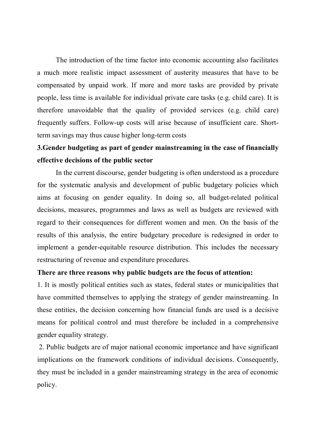The introduction of the time factor into economic accounting also facilitates a much more realistic impact assessment of austerity measures that have to be compensated by unpaid work. If more and more tasks are provided by private people, less time is available for individual private care tasks (e.g. child care). It is therefore unavoidable that the quality of provided services (e.g. child care) frequently suffers. Follow-up costs will arise because of insufficient care. Shortterm savings may thus cause higher long-term costs

## **3.Gender budgeting as part of gender mainstreaming in the case of financially effective decisions of the public sector**

In the current discourse, gender budgeting is often understood as a procedure for the systematic analysis and development of public budgetary policies which aims at focusing on gender equality. In doing so, all budget-related political decisions, measures, programmes and laws as well as budgets are reviewed with regard to their consequences for different women and men. On the basis of the results of this analysis, the entire budgetary procedure is redesigned in order to implement a gender-equitable resource distribution. This includes the necessary restructuring of revenue and expenditure procedures.

#### **There are three reasons why public budgets are the focus of attention:**

1. It is mostly political entities such as states, federal states or municipalities that have committed themselves to applying the strategy of gender mainstreaming. In these entities, the decision concerning how financial funds are used is a decisive means for political control and must therefore be included in a comprehensive gender equality strategy.

 2. Public budgets are of major national economic importance and have significant implications on the framework conditions of individual decisions. Consequently, they must be included in a gender mainstreaming strategy in the area of economic policy.